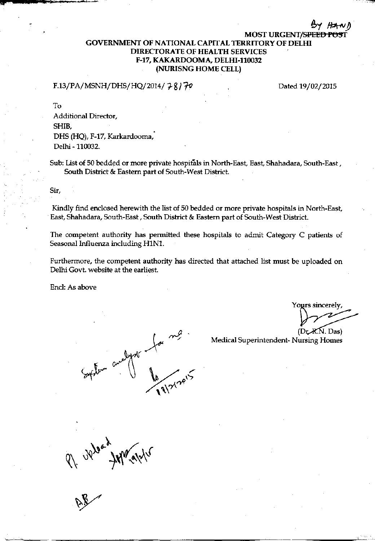## **MOST URGENT/SPEEE GOVERNMENT OF NATIONAL CAPITAL TERRITORY OF DELHI DIRECTORATE OF HEALTH SERVICES** F-17, KAKARDOOMA, DELHI-110032 (NURISNG HOME CELL)

## F.13/PA/MSNH/DHS/HQ/2014/ $78$ / $70$

Dated 19/02/2015

To

Additional Director. SHIB. DHS (HQ), F-17, Karkardooma, Delhi - 110032.

Sub: List of 50 bedded or more private hospitals in North-East, East, Shahadara, South-East, South District & Eastern part of South-West District.

Sir,

Kindly find enclosed herewith the list of 50 bedded or more private hospitals in North-East, East, Shahadara, South-East, South District & Eastern part of South-West District.

The competent authority has permitted these hospitals to admit Category C patients of Seasonal Influenza including H1N1.

Furthermore, the competent authority has directed that attached list must be uploaded on Delhi Govt. website at the earliest.

Encl: As above

abyot for

Yours sincerely

 $(Dr$   $R$ . Das)

Medical Superintendent-Nursing Homes

AP UNION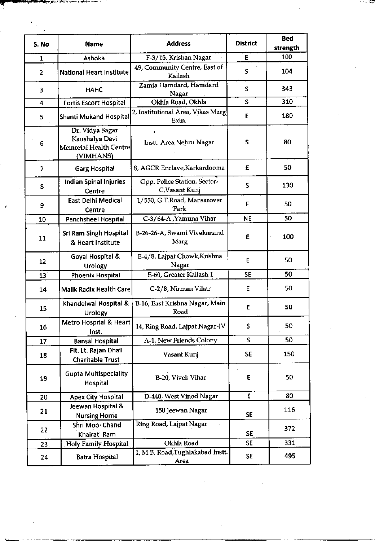| S. No                    | <b>Name</b>                                                                     | <b>Address</b>                                 | <b>District</b> | <b>Bed</b><br>strength |
|--------------------------|---------------------------------------------------------------------------------|------------------------------------------------|-----------------|------------------------|
| $\mathbf{1}$             | Ashoka                                                                          | F-3/15, Krishan Nagar                          | E               | 100                    |
| 2                        | <b>National Heart Institute</b>                                                 | 49, Community Centre, East of<br>Kailash       | S               | 104                    |
| 3                        | <b>HAHC</b>                                                                     | Zamia Hamdard, Hamdard<br>Nagar                | S               | 343                    |
| 4                        | <b>Fortis Escort Hospital</b>                                                   | Okhla Road, Okhla                              | S               | 310                    |
| 5                        | Shanti Mukand Hospital                                                          | 2, Institutional Area, Vikas Marg<br>Extn.     | E               | 180                    |
| 6                        | Dr. Vidya Sagar<br>Kaushalya Devi<br><b>Memorial Health Centre</b><br>(VIMHANS) | Instt. Area, Nehru Nagar                       | S               | 80                     |
| $\overline{\phantom{a}}$ | <b>Garg Hospital</b>                                                            | 8, AGCR Enclave, Karkardooma                   | E               | 50                     |
| 8                        | <b>Indian Spinal Injuries</b><br>Centre                                         | Opp. Police Station, Sector-<br>C, Vasant Kunj | S               | 130                    |
| 9                        | <b>East Delhi Medical</b><br>Centre                                             | 1/550, G.T.Road, Mansarover<br>Park            | E               | 50                     |
| 10                       | Panchsheel Hospital                                                             | C-3/64-A , Yamuna Vihar                        | <b>NE</b>       | 50                     |
| 11                       | Sri Ram Singh Hospital<br>& Heart Institute                                     | B-26-26-A, Swami Vivekanand<br>Marg            | E               | 100                    |
| 12                       | Goyal Hospital &<br>Urology                                                     | E-4/8, Lajpat Chowk, Krishna<br>Nagar          | E               | 50                     |
| 13                       | Phoenix Hospital                                                                | E-60, Greater Kailash-I                        | <b>SE</b>       | 50                     |
| 14                       | <b>Malik Radix Health Care</b>                                                  | C-2/8, Nirman Vihar                            | Ε               | 50                     |
| 15                       | Khandelwal Hospital &<br>Urology                                                | B-16, East Krishna Nagar, Main<br>Road         | Ε               | 50                     |
| 16                       | Metro Hospital & Heart<br>Inst.                                                 | 14, Ring Road, Lajpat Nagar-IV                 | S               | 50                     |
| 17                       | <b>Bansal Hospital</b>                                                          | A-1, New Friends Colony                        | S               | 50                     |
| 18                       | Flt. Lt. Rajan Dhall<br><b>Charitable Trust</b>                                 | Vasant Kunj                                    | <b>SE</b>       | 150                    |
| 19                       | <b>Gupta Multispeciality</b><br>Hospital                                        | B-20, Vivek Vihar                              | E               | 50                     |
| 20                       | <b>Apex City Hospital</b>                                                       | D-440, West Vinod Nagar                        | E               | 80                     |
| 21                       | Jeewan Hospital &<br><b>Nursing Home</b>                                        | 150 Jeewan Nagar                               | <b>SE</b>       | 116                    |
| 22                       | Shri Mool Chand<br>Khairati Ram                                                 | Ring Road, Lajpat Nagar                        | <b>SE</b>       | 372                    |
| 23.                      | Holy Family Hospital                                                            | Okhla Road                                     | <b>SE</b>       | 331                    |
| 24                       | Batra Hospital                                                                  | 1, M.B. Road, Tughlakabad Instt.<br>Area       | <b>SE</b>       | 495                    |

 $\mathcal{O}(\mathcal{O})$ 

 $\sim$ 

 $\sim$ 

a in context of the

 $\mathcal{L}_{\mathcal{L}}$ 

 $\mathcal{L}_{\mathcal{A}}$ 

 $\mathcal{A}$ 

 $\mathcal{L}^{\text{max}}_{\text{max}}$  ,  $\mathcal{L}^{\text{max}}_{\text{max}}$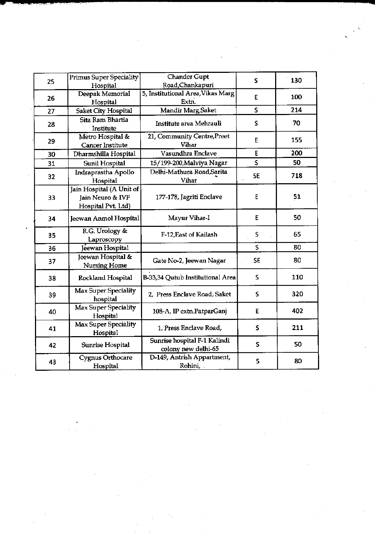|    |                                                                    |                                                     |           |      | $\chi$ $\approx$ |
|----|--------------------------------------------------------------------|-----------------------------------------------------|-----------|------|------------------|
|    |                                                                    |                                                     |           |      |                  |
| 25 | <b>Primus Super Speciality</b><br>Hospital                         | <b>Chander Gupt</b><br>Road, Chankapuri             | S         | 130  |                  |
| 26 | Deepak Memorial<br>Hospital                                        | 5, Institutional Area, Vikas Marg<br>Extn.          | Е         | 100  |                  |
| 27 | Saket City Hospital                                                | Mandir Marg, Saket                                  | S         | 214  |                  |
| 28 | Sita Ram Bhartia<br>Institute                                      | Institute area Mehrauli                             | S         | 70   |                  |
| 29 | Metro Hospital &<br>Cancer Institute                               | 21, Community Centre, Preet<br>Vihar                | E         | 155  |                  |
| 30 | Dharmshilla Hospital                                               | Vasundhra Enclave                                   | E         | 200  |                  |
| 31 | <b>Sunil Hospital</b>                                              | 15/199-200, Malviya Nagar                           | S.        | 50   |                  |
| 32 | Indraprastha Apollo<br>Hospital                                    | Delhi-Mathura Road, Sarita<br>Vihar                 | <b>SE</b> | 718  |                  |
| 33 | Jain Hospital (A Unit of<br>Jain Neuro & IVF<br>Hospital Pvt. Ltd) | 177-178, Jagriti Enclave                            | E         | 51   |                  |
| 34 | Jeewan Anmol Hospital                                              | Mayur Vihar-I                                       | E         | 50   |                  |
| 35 | R.G. Urology &<br>Laproscopy                                       | F-12, East of Kailash                               | S         | 65   |                  |
| 36 | Jeewan Hospital                                                    |                                                     | S         | 80   |                  |
| 37 | Jeewan Hospital &<br><b>Nursing Home</b>                           | Gate No-2, Jeewan Nagar                             | <b>SE</b> | 80   |                  |
| 38 | Rockland Hospital                                                  | B-33,34 Qutub Institutional Area                    | S         | 110  |                  |
| 39 | <b>Max Super Speciality</b><br>hospital                            | 2, Press Enclave Road, Saket                        | S         | 320  |                  |
| 40 | Max Super Speciality<br>Hospital                                   | 108-A, IP extn.PatparGanj                           | E         | 402  |                  |
| 41 | <b>Max Super Speciality</b><br>Hospital                            | 1, Press Enclave Road,                              | S         | 211. |                  |
| 42 | Sunrise Hospital                                                   | Sunrise hospital F-1 Kalindi<br>colony new delhi-65 | S         | 50   |                  |
| 43 | Cygnus Orthocare<br>Hospital                                       | D-149, Antrish Appartment,<br>Rohini,               | S         | 80   |                  |

 $\label{eq:2.1} \frac{1}{\sqrt{2}}\sum_{i=1}^n\frac{1}{\sqrt{2}}\sum_{i=1}^n\frac{1}{\sqrt{2}}\sum_{i=1}^n\frac{1}{\sqrt{2}}\sum_{i=1}^n\frac{1}{\sqrt{2}}\sum_{i=1}^n\frac{1}{\sqrt{2}}\sum_{i=1}^n\frac{1}{\sqrt{2}}\sum_{i=1}^n\frac{1}{\sqrt{2}}\sum_{i=1}^n\frac{1}{\sqrt{2}}\sum_{i=1}^n\frac{1}{\sqrt{2}}\sum_{i=1}^n\frac{1}{\sqrt{2}}\sum_{i=1}^n\frac$ 

 $\label{eq:2} \frac{1}{\sqrt{2}}\sum_{i=1}^n\frac{1}{\sqrt{2}}\sum_{j=1}^n\frac{1}{j!}\sum_{j=1}^n\frac{1}{j!}\sum_{j=1}^n\frac{1}{j!}\sum_{j=1}^n\frac{1}{j!}\sum_{j=1}^n\frac{1}{j!}\sum_{j=1}^n\frac{1}{j!}\sum_{j=1}^n\frac{1}{j!}\sum_{j=1}^n\frac{1}{j!}\sum_{j=1}^n\frac{1}{j!}\sum_{j=1}^n\frac{1}{j!}\sum_{j=1}^n\frac{1}{j!}\sum_{j=1}^$ 

 $\label{eq:2.1} \frac{1}{\sqrt{2}}\sum_{i=1}^n\frac{1}{\sqrt{2}}\sum_{i=1}^n\frac{1}{\sqrt{2}}\sum_{i=1}^n\frac{1}{\sqrt{2}}\sum_{i=1}^n\frac{1}{\sqrt{2}}\sum_{i=1}^n\frac{1}{\sqrt{2}}\sum_{i=1}^n\frac{1}{\sqrt{2}}\sum_{i=1}^n\frac{1}{\sqrt{2}}\sum_{i=1}^n\frac{1}{\sqrt{2}}\sum_{i=1}^n\frac{1}{\sqrt{2}}\sum_{i=1}^n\frac{1}{\sqrt{2}}\sum_{i=1}^n\frac$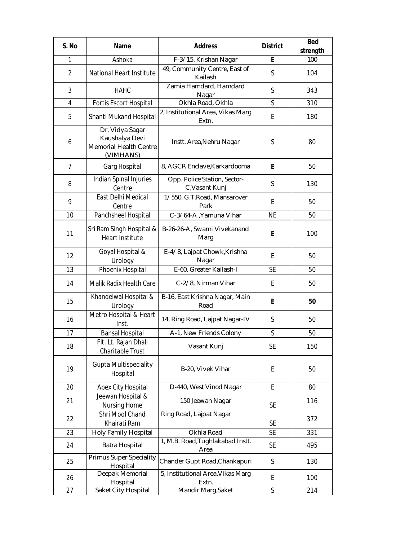| S. No          | <b>Name</b>                                                              | <b>Address</b>                                 | <b>District</b> | <b>Bed</b><br>strength |
|----------------|--------------------------------------------------------------------------|------------------------------------------------|-----------------|------------------------|
| 1              | Ashoka                                                                   | F-3/15, Krishan Nagar                          | E               | 100                    |
| 2              | National Heart Institute                                                 | 49, Community Centre, East of<br>Kailash       | S               | 104                    |
| 3              | <b>HAHC</b>                                                              | Zamia Hamdard, Hamdard<br>Nagar                | S               | 343                    |
| 4              | Fortis Escort Hospital                                                   | Okhla Road, Okhla                              | S               | 310                    |
| 5              | Shanti Mukand Hospital                                                   | 2, Institutional Area, Vikas Marg<br>Extn.     | E               | 180                    |
| 6              | Dr. Vidya Sagar<br>Kaushalya Devi<br>Memorial Health Centre<br>(VIMHANS) | Instt. Area, Nehru Nagar                       | S               | 80                     |
| $\overline{7}$ | Garg Hospital                                                            | 8, AGCR Enclave, Karkardooma                   | E               | 50                     |
| 8              | Indian Spinal Injuries<br>Centre                                         | Opp. Police Station, Sector-<br>C, Vasant Kunj | S               | 130                    |
| 9              | East Delhi Medical<br>Centre                                             | 1/550, G.T.Road, Mansarover<br>Park            | E               | 50                     |
| 10             | Panchsheel Hospital                                                      | C-3/64-A , Yamuna Vihar                        | <b>NE</b>       | 50                     |
| 11             | Sri Ram Singh Hospital &<br>Heart Institute                              | B-26-26-A, Swami Vivekanand<br>Marg            | E               | 100                    |
| 12             | Goyal Hospital &<br>Urology                                              | E-4/8, Lajpat Chowk, Krishna<br>Nagar          | E               | 50                     |
| 13             | Phoenix Hospital                                                         | E-60, Greater Kailash-I                        | <b>SE</b>       | 50                     |
| 14             | Malik Radix Health Care                                                  | C-2/8, Nirman Vihar                            | E               | 50                     |
| 15             | Khandelwal Hospital &<br>Urology                                         | B-16, East Krishna Nagar, Main<br>Road         | E               | 50                     |
| 16             | Metro Hospital & Heart<br>Inst.                                          | 14, Ring Road, Lajpat Nagar-IV                 | S               | 50                     |
| 17             | <b>Bansal Hospital</b>                                                   | A-1, New Friends Colony                        | S               | 50                     |
| 18             | Flt. Lt. Rajan Dhall<br>Charitable Trust                                 | Vasant Kunj                                    | <b>SE</b>       | 150                    |
| 19             | <b>Gupta Multispeciality</b><br>Hospital                                 | B-20, Vivek Vihar                              | E               | 50                     |
| 20             | Apex City Hospital                                                       | D-440, West Vinod Nagar                        | E               | 80                     |
| 21             | Jeewan Hospital &<br>Nursing Home                                        | 150 Jeewan Nagar                               | <b>SE</b>       | 116                    |
| 22             | Shri Mool Chand<br>Khairati Ram                                          | Ring Road, Lajpat Nagar                        | <b>SE</b>       | 372                    |
| 23             | Holy Family Hospital                                                     | Okhla Road                                     | <b>SE</b>       | 331                    |
| 24             | Batra Hospital                                                           | 1, M.B. Road, Tughlakabad Instt.<br>Area       | <b>SE</b>       | 495                    |
| 25             | <b>Primus Super Speciality</b><br>Hospital                               | Chander Gupt Road, Chankapuri                  | S               | 130                    |
| 26             | Deepak Memorial<br>Hospital                                              | 5, Institutional Area, Vikas Marg<br>Extn.     | E               | 100                    |
| 27             | Saket City Hospital                                                      | Mandir Marg, Saket                             | S               | 214                    |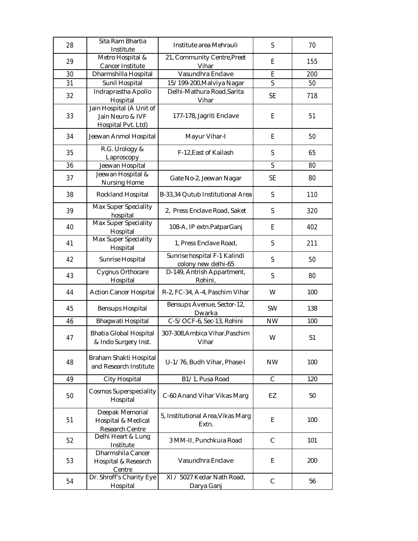| 28 | Sita Ram Bhartia<br>Institute                                      | Institute area Mehrauli                             | S                       | 70  |
|----|--------------------------------------------------------------------|-----------------------------------------------------|-------------------------|-----|
| 29 | Metro Hospital &<br>Cancer Institute                               | 21, Community Centre, Preet<br>Vihar                | E                       | 155 |
| 30 | Dharmshilla Hospital                                               | Vasundhra Enclave                                   | E                       | 200 |
| 31 | Sunil Hospital                                                     | 15/199-200, Malviya Nagar                           | $\overline{\mathsf{S}}$ | 50  |
| 32 | Indraprastha Apollo<br>Hospital                                    | Delhi-Mathura Road, Sarita<br>Vihar                 | <b>SE</b>               | 718 |
| 33 | Jain Hospital (A Unit of<br>Jain Neuro & IVF<br>Hospital Pvt. Ltd) | 177-178, Jagriti Enclave                            | E                       | 51  |
| 34 | Jeewan Anmol Hospital                                              | Mayur Vihar-I                                       | E                       | 50  |
| 35 | R.G. Urology &<br>Laproscopy                                       | F-12, East of Kailash                               | S                       | 65  |
| 36 | Jeewan Hospital                                                    |                                                     | $\mathsf S$             | 80  |
| 37 | Jeewan Hospital &<br><b>Nursing Home</b>                           | Gate No-2, Jeewan Nagar                             | <b>SE</b>               | 80  |
| 38 | Rockland Hospital                                                  | B-33,34 Qutub Institutional Area                    | S                       | 110 |
| 39 | Max Super Speciality<br>hospital                                   | 2, Press Enclave Road, Saket                        | S                       | 320 |
| 40 | Max Super Speciality<br>Hospital                                   | 108-A, IP extn.PatparGanj                           | E                       | 402 |
| 41 | Max Super Speciality<br>Hospital                                   | 1, Press Enclave Road,                              | S                       | 211 |
| 42 | Sunrise Hospital                                                   | Sunrise hospital F-1 Kalindi<br>colony new delhi-65 | S                       | 50  |
| 43 | Cygnus Orthocare<br>Hospital                                       | D-149, Antrish Appartment,<br>Rohini,               | S                       | 80  |
| 44 | <b>Action Cancer Hospital</b>                                      | R-2, FC-34, A-4, Paschim Vihar                      | W                       | 100 |
| 45 | <b>Bensups Hospital</b>                                            | Bensups Avenue, Sector-12,<br>Dwarka                | <b>SW</b>               | 138 |
| 46 | Bhagwati Hospital                                                  | C-5/OCF-6, Sec-13, Rohini                           | <b>NW</b>               | 100 |
| 47 | <b>Bhatia Global Hospital</b><br>& Indo Surgery Inst.              | 307-308, Ambica Vihar, Paschim<br>Vihar             | W                       | 51  |
| 48 | Braham Shakti Hospital<br>and Research Institute                   | U-1/76, Budh Vihar, Phase-I                         | <b>NW</b>               | 100 |
| 49 | City Hospital                                                      | B1/1, Pusa Road                                     | $\mathsf{C}$            | 120 |
| 50 | <b>Cosmos Superspeciality</b><br>Hospital                          | C-60 Anand Vihar Vikas Marg                         | EZ                      | 50  |
| 51 | Deepak Memorial<br>Hospital & Medical<br>Research Centre           | 5, Institutional Area, Vikas Marg<br>Extn.          | E                       | 100 |
| 52 | Delhi Heart & Lung<br>Institute                                    | 3 MM-II, Punchkuia Road                             | C                       | 101 |
| 53 | Dharmshila Cancer<br>Hospital & Research<br>Centre                 | Vasundhra Enclave                                   | E                       | 200 |
| 54 | Dr. Shroff's Charity Eye<br>Hospital                               | XI / 5027 Kedar Nath Road,<br>Darya Ganj            | C                       | 56  |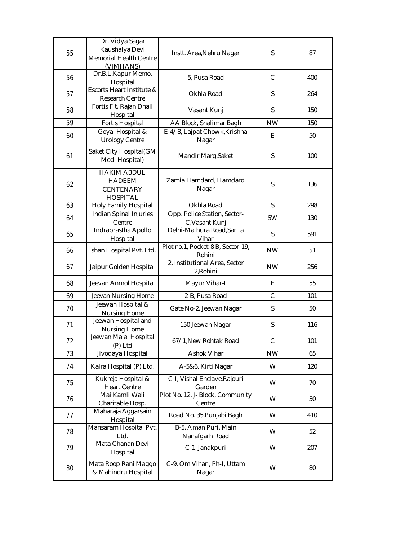| 55 | Dr. Vidya Sagar<br>Kaushalya Devi<br><b>Memorial Health Centre</b><br>(VIMHANS) | Instt. Area, Nehru Nagar                       | S            | 87  |
|----|---------------------------------------------------------------------------------|------------------------------------------------|--------------|-----|
| 56 | Dr.B.L.Kapur Memo.<br>Hospital                                                  | 5, Pusa Road                                   | $\mathsf{C}$ | 400 |
| 57 | Escorts Heart Institute &<br>Research Centre                                    | Okhla Road                                     | S            | 264 |
| 58 | Fortis Flt. Rajan Dhall<br>Hospital                                             | Vasant Kunj                                    | S            | 150 |
| 59 | <b>Fortis Hospital</b>                                                          | AA Block, Shalimar Bagh                        | <b>NW</b>    | 150 |
| 60 | Goyal Hospital &<br><b>Urology Centre</b>                                       | E-4/8, Lajpat Chowk, Krishna<br>Nagar          | E            | 50  |
| 61 | Saket City Hospital(GM<br>Modi Hospital)                                        | Mandir Marg, Saket                             | S            | 100 |
| 62 | <b>HAKIM ABDUL</b><br><b>HADEEM</b><br><b>CENTENARY</b><br><b>HOSPITAL</b>      | Zamia Hamdard, Hamdard<br>Nagar                | S            | 136 |
| 63 | Holy Family Hospital                                                            | Okhla Road                                     | S            | 298 |
| 64 | Indian Spinal Injuries<br>Centre                                                | Opp. Police Station, Sector-<br>C, Vasant Kunj | <b>SW</b>    | 130 |
| 65 | Indraprastha Apollo<br>Hospital                                                 | Delhi-Mathura Road, Sarita<br>Vihar            | S            | 591 |
| 66 | Ishan Hospital Pvt. Ltd.                                                        | Plot no.1, Pocket-8 B, Sector-19,<br>Rohini    | <b>NW</b>    | 51  |
| 67 | Jaipur Golden Hospital                                                          | 2, Institutional Area, Sector<br>2, Rohini     | <b>NW</b>    | 256 |
| 68 | Jeevan Anmol Hospital                                                           | Mayur Vihar-I                                  | E            | 55  |
| 69 | Jeevan Nursing Home                                                             | 2-B, Pusa Road                                 | $\mathsf{C}$ | 101 |
| 70 | Jeewan Hospital &<br>Nursing Home                                               | Gate No-2, Jeewan Nagar                        | S            | 50  |
| 71 | Jeewan Hospital and<br>Nursing Home                                             | 150 Jeewan Nagar                               | $\mathsf S$  | 116 |
| 72 | Jeewan Mala Hospital<br>(P) Ltd                                                 | 67/1, New Rohtak Road                          | C            | 101 |
| 73 | Jivodaya Hospital                                                               | Ashok Vihar                                    | <b>NW</b>    | 65  |
| 74 | Kalra Hospital (P) Ltd.                                                         | A-5&6, Kirti Nagar                             | W            | 120 |
| 75 | Kukreja Hospital &<br><b>Heart Centre</b>                                       | C-I, Vishal Enclave, Rajouri<br>Garden         | W            | 70  |
| 76 | Mai Kamli Wali<br>Charitable Hosp.                                              | Plot No. 12, J- Block, Community<br>Centre     | W            | 50  |
| 77 | Maharaja Aggarsain<br>Hospital                                                  | Road No. 35, Punjabi Bagh                      | W            | 410 |
| 78 | Mansaram Hospital Pvt.<br>Ltd.                                                  | B-5, Aman Puri, Main<br>Nanafgarh Road         | W            | 52  |
| 79 | Mata Chanan Devi<br>Hospital                                                    | C-1, Janakpuri                                 | W            | 207 |
| 80 | Mata Roop Rani Maggo<br>& Mahindru Hospital                                     | C-9, Om Vihar, Ph-I, Uttam<br>Nagar            | W            | 80  |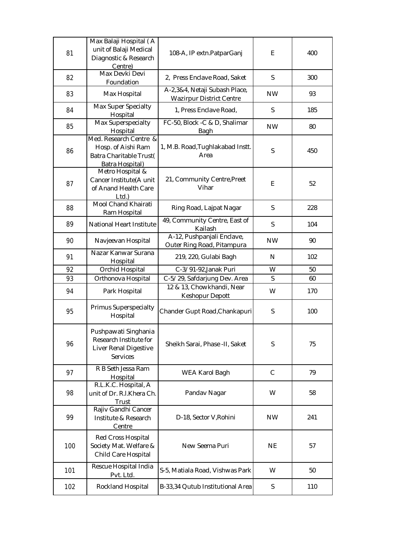| 81  | Max Balaji Hospital (A<br>unit of Balaji Medical<br>Diagnostic & Research<br>Centre)       | 108-A, IP extn.PatparGanj                                        | E            | 400 |
|-----|--------------------------------------------------------------------------------------------|------------------------------------------------------------------|--------------|-----|
| 82  | Max Devki Devi<br>Foundation                                                               | 2, Press Enclave Road, Saket                                     | S            | 300 |
| 83  | Max Hospital                                                                               | A-2,3&4, Netaji Subash Place,<br><b>Wazirpur District Centre</b> | <b>NW</b>    | 93  |
| 84  | Max Super Specialty<br>Hospital                                                            | 1, Press Enclave Road,                                           | S            | 185 |
| 85  | Max Superspecialty<br>Hospital                                                             | FC-50, Block -C & D, Shalimar<br>Bagh                            | <b>NW</b>    | 80  |
| 86  | Med. Research Centre &<br>Hosp. of Aishi Ram<br>Batra Charitable Trust(<br>Batra Hospital) | 1, M.B. Road, Tughlakabad Instt.<br>Area                         | S            | 450 |
| 87  | Metro Hospital &<br>Cancer Institute(A unit<br>of Anand Health Care<br>Ltd.                | 21, Community Centre, Preet<br>Vihar                             | E            | 52  |
| 88  | Mool Chand Khairati<br>Ram Hospital                                                        | Ring Road, Lajpat Nagar                                          | S            | 228 |
| 89  | National Heart Institute                                                                   | 49, Community Centre, East of<br>Kailash                         | S            | 104 |
| 90  | Navjeevan Hospital                                                                         | A-12, Pushpanjali Enclave,<br>Outer Ring Road, Pitampura         | <b>NW</b>    | 90  |
| 91  | Nazar Kanwar Surana<br>Hospital                                                            | 219, 220, Gulabi Bagh                                            | N            | 102 |
| 92  | Orchid Hospital                                                                            | C-3/91-92, Janak Puri                                            | W            | 50  |
| 93  | Orthonova Hospital                                                                         | C-5/29, Safdarjung Dev. Area                                     | S            | 60  |
| 94  | Park Hospital                                                                              | 12 & 13, Chowkhandi, Near<br>Keshopur Depott                     | W            | 170 |
| 95  | Primus Superspecialty<br>Hospital                                                          | Chander Gupt Road, Chankapuri                                    | S            | 100 |
| 96  | Pushpawati Singhania<br>Research Institute for<br>Liver Renal Digestive<br>Services        | Sheikh Sarai, Phase -II, Saket                                   | S            | 75  |
| 97  | R B Seth Jessa Ram<br>Hospital                                                             | WEA Karol Bagh                                                   | $\mathsf{C}$ | 79  |
| 98  | R.L.K.C. Hospital, A<br>unit of Dr. R.I.Khera Ch.<br>Trust                                 | Pandav Nagar                                                     | W            | 58  |
| 99  | Rajiv Gandhi Cancer<br>Institute & Research<br>Centre                                      | D-18, Sector V, Rohini                                           | <b>NW</b>    | 241 |
| 100 | Red Cross Hospital<br>Society Mat. Welfare &<br>Child Care Hospital                        | New Seema Puri                                                   | <b>NE</b>    | 57  |
| 101 | Rescue Hospital India<br>Pvt. Ltd.                                                         | S-5, Matiala Road, Vishwas Park                                  | W            | 50  |
| 102 | Rockland Hospital                                                                          | B-33,34 Qutub Institutional Area                                 | S            | 110 |